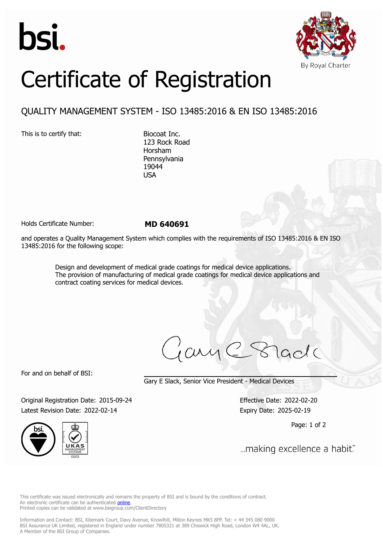



## Certificate of Registration

## QUALITY MANAGEMENT SYSTEM - ISO 13485:2016 & EN ISO 13485:2016

This is to certify that: Biocoat Inc.

123 Rock Road Horsham Pennsylvania 19044 USA

Holds Certificate Number: **MD 640691**

and operates a Quality Management System which complies with the requirements of ISO 13485:2016 & EN ISO 13485:2016 for the following scope:

> Design and development of medical grade coatings for medical device applications. The provision of manufacturing of medical grade coatings for medical device applications and contract coating services for medical devices.

cuy

For and on behalf of BSI:

Gary E Slack, Senior Vice President - Medical Devices

Original Registration Date: 2015-09-24 Effective Date: 2022-02-20 Latest Revision Date: 2022-02-14 Expiry Date: 2025-02-19



Page: 1 of 2

... making excellence a habit."

This certificate was issued electronically and remains the property of BSI and is bound by the conditions of contract. An electronic certificate can be authenticated **online**. Printed copies can be validated at www.bsigroup.com/ClientDirectory

Information and Contact: BSI, Kitemark Court, Davy Avenue, Knowlhill, Milton Keynes MK5 8PP. Tel: + 44 345 080 9000 BSI Assurance UK Limited, registered in England under number 7805321 at 389 Chiswick High Road, London W4 4AL, UK. A Member of the BSI Group of Companies.